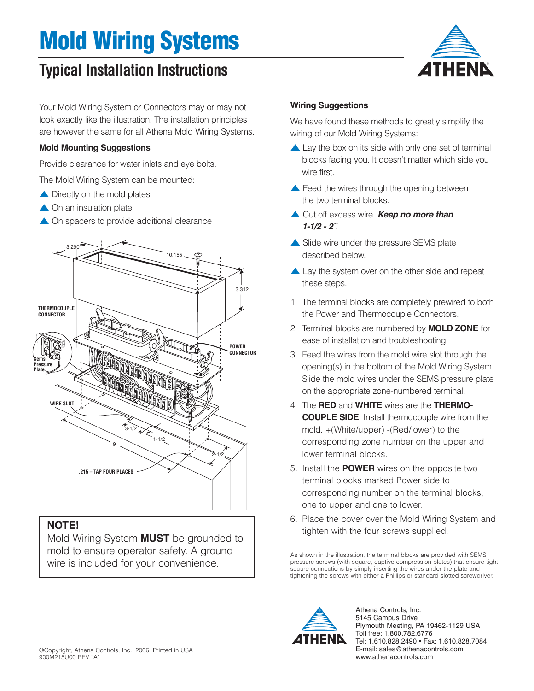## **Mold Wiring Systems**

### **Typical Installation Instructions**

Your Mold Wiring System or Connectors may or may not look exactly like the illustration. The installation principles are however the same for all Athena Mold Wiring Systems.

#### **Mold Mounting Suggestions**

Provide clearance for water inlets and eye bolts.

The Mold Wiring System can be mounted:

- ▲ Directly on the mold plates
- ▲ On an insulation plate
- ▲ On spacers to provide additional clearance



Mold Wiring System **MUST** be grounded to mold to ensure operator safety. A ground wire is included for your convenience.

#### **Wiring Suggestions**

We have found these methods to greatly simplify the wiring of our Mold Wiring Systems:

*A*THENR

- $\triangle$  Lay the box on its side with only one set of terminal blocks facing you. It doesn't matter which side you wire first.
- ▲ Feed the wires through the opening between the two terminal blocks.
- ▲ Cut off excess wire. **Keep no more than 1-1/2 - 2˝**.
- ▲ Slide wire under the pressure SEMS plate described below.
- ▲ Lay the system over on the other side and repeat these steps.
- 1. The terminal blocks are completely prewired to both the Power and Thermocouple Connectors.
- 2. Terminal blocks are numbered by **MOLD ZONE** for ease of installation and troubleshooting.
- 3. Feed the wires from the mold wire slot through the opening(s) in the bottom of the Mold Wiring System. Slide the mold wires under the SEMS pressure plate on the appropriate zone-numbered terminal.
- 4. The **RED** and **WHITE** wires are the **THERMO-COUPLE SIDE**. Install thermocouple wire from the mold. +(White/upper) -(Red/lower) to the corresponding zone number on the upper and lower terminal blocks.
- 5. Install the **POWER** wires on the opposite two terminal blocks marked Power side to corresponding number on the terminal blocks, one to upper and one to lower.
- 6. Place the cover over the Mold Wiring System and

As shown in the illustration, the terminal blocks are provided with SEMS pressure screws (with square, captive compression plates) that ensure tight, secure connections by simply inserting the wires under the plate and tightening the screws with either a Phillips or standard slotted screwdriver.



Athena Controls, Inc. 5145 Campus Drive Plymouth Meeting, PA 19462-1129 USA Toll free: 1.800.782.6776 Tel: 1.610.828.2490 • Fax: 1.610.828.7084 E-mail: sales@athenacontrols.com www.athenacontrols.com